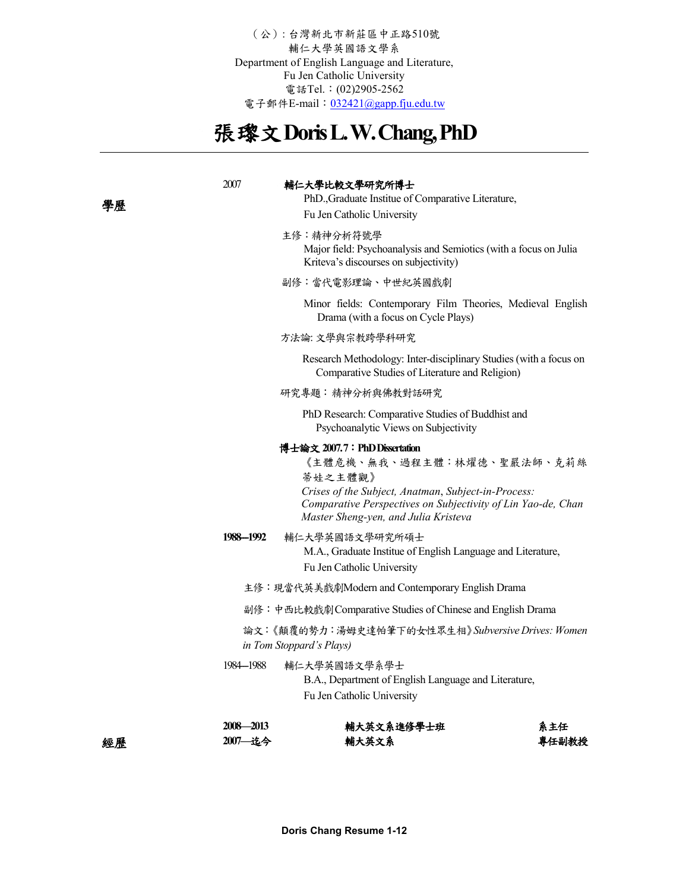(公): 台灣新北市新莊區中正路510號 輔仁大學英國語文學系 Department of English Language and Literature, Fu Jen Catholic University 電話Tel.: (02)2905-2562 電子郵件E-mail: [032421@gapp.fju.edu.tw](mailto:032421@gapp.fju.edu.tw)

# 張瓈文**Doris L. W. Chang, PhD**

| 學歷 | 2007                                                                         | 輔仁大學比較文學研究所博士<br>PhD., Graduate Institue of Comparative Literature,<br>Fu Jen Catholic University                                                                                                                                    |              |  |  |
|----|------------------------------------------------------------------------------|--------------------------------------------------------------------------------------------------------------------------------------------------------------------------------------------------------------------------------------|--------------|--|--|
|    |                                                                              | 主修:精神分析符號學<br>Major field: Psychoanalysis and Semiotics (with a focus on Julia<br>Kriteva's discourses on subjectivity)                                                                                                              |              |  |  |
|    |                                                                              | 副修:當代電影理論、中世紀英國戲劇                                                                                                                                                                                                                    |              |  |  |
|    |                                                                              | Minor fields: Contemporary Film Theories, Medieval English<br>Drama (with a focus on Cycle Plays)                                                                                                                                    |              |  |  |
|    |                                                                              | 方法論:文學與宗教跨學科研究                                                                                                                                                                                                                       |              |  |  |
|    |                                                                              | Research Methodology: Inter-disciplinary Studies (with a focus on<br>Comparative Studies of Literature and Religion)                                                                                                                 |              |  |  |
|    |                                                                              | 研究專題: 精神分析與佛教對話研究                                                                                                                                                                                                                    |              |  |  |
|    |                                                                              | PhD Research: Comparative Studies of Buddhist and<br>Psychoanalytic Views on Subjectivity                                                                                                                                            |              |  |  |
|    |                                                                              | 博士論文 2007.7:PhD Dissertation<br>《主體危機、無我、過程主體:林燿德、聖嚴法師、克莉絲<br>蒂娃之主體觀》<br>Crises of the Subject, Anatman, Subject-in-Process:<br>Comparative Perspectives on Subjectivity of Lin Yao-de, Chan<br>Master Sheng-yen, and Julia Kristeva |              |  |  |
|    | 1988-1992                                                                    | 輔仁大學英國語文學研究所碩士<br>M.A., Graduate Institue of English Language and Literature,<br>Fu Jen Catholic University                                                                                                                          |              |  |  |
|    | 主修:現當代英美戲劇Modern and Contemporary English Drama                              |                                                                                                                                                                                                                                      |              |  |  |
|    |                                                                              | 副修:中西比較戲劇Comparative Studies of Chinese and English Drama                                                                                                                                                                            |              |  |  |
|    | 論文:《顛覆的勢力:湯姆史達帕筆下的女性眾生相》Subversive Drives: Women<br>in Tom Stoppard's Plays) |                                                                                                                                                                                                                                      |              |  |  |
|    | 1984—1988                                                                    | 輔仁大學英國語文學系學士<br>B.A., Department of English Language and Literature,<br>Fu Jen Catholic University                                                                                                                                   |              |  |  |
| 經歷 | 2008-2013<br>2007 选今                                                         | 輔大英文系進修學士班<br>輔大英文系                                                                                                                                                                                                                  | 系主任<br>專任副教授 |  |  |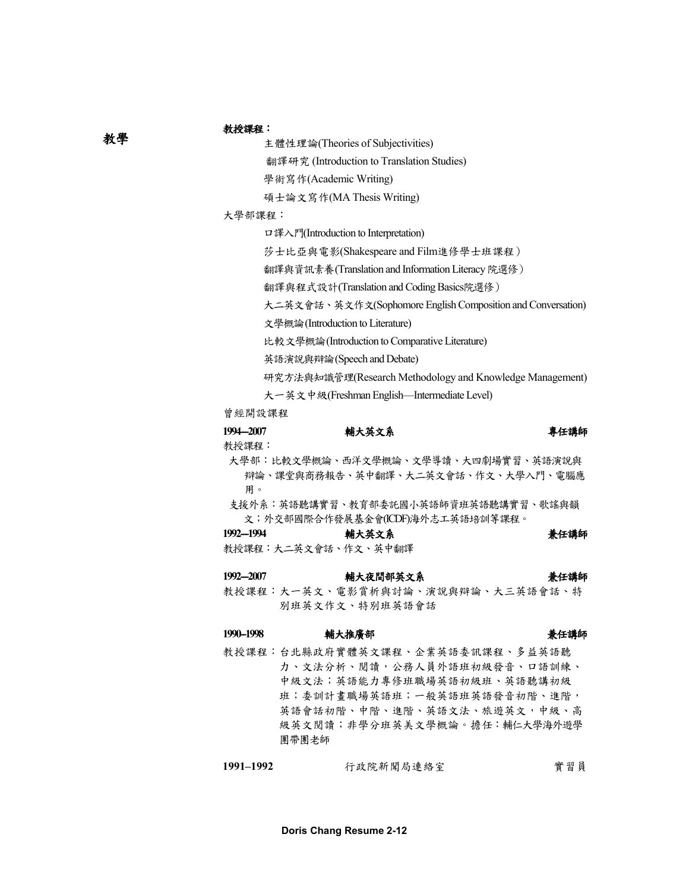## 教授課程:

主體性理論(Theories of Subjectivities)

翻譯研究 (Introduction to Translation Studies)

學術寫作(Academic Writing)

碩士論文寫作(MA Thesis Writing)

大學部課程:

口譯入門(Introduction to Interpretation)

莎士比亞與電影(Shakespeare and Film進修學士班課程)

翻譯與資訊素養(Translation and Information Literacy 院選修)

翻譯與程式設計(Translation and Coding Basics院選修)

大二英文會話、英文作文(Sophomore English Composition and Conversation)

文學概論(Introduction to Literature)

比較文學概論(Introduction to Comparative Literature)

英語演說與辯論(Speech and Debate)

研究方法與知識管理(Research Methodology and Knowledge Management)

大一英文中級(Freshman English—Intermediate Level)

曾經開設課程

| 1994-2007 | 輔大英文系                               | 專任講師 |
|-----------|-------------------------------------|------|
| 教授課程:     |                                     |      |
|           | 大學部:比較文學概論、西洋文學概論、文學導讀、大四劇場實習、英語演說與 |      |

辯論、課堂與商務報告、英中翻譯、大二英文會話、作文、大學入門、電腦應 用。

支援外系:英語聽講實習、教育部委託國小英語師資班英語聽講實習、歌謠與韻 文;外交部國際合作發展基金會(ICDF)海外志工英語培訓等課程。

1992--1994 **補大英文系 精大英文系 精神** 

教授課程:大二英文會話、作文、英中翻譯

## 1992--2007 **補大夜間部英文系 精神** 精大夜間部英文系 精神 精神 教授課程:大一英文、電影賞析與討論、演說與辯論、大三英語會話、特

# 1990-1998 **輔大推廣部** 第1990-1998 新任講師

別班英文作文、特別班英語會話

教授課程:台北縣政府實體英文課程、企業英語委訊課程、多益英語聽 力、文法分析、閱讀,公務人員外語班初級發音、口語訓練、 中級文法;英語能力專修班職場英語初級班、英語聽講初級 班;委訓計畫職場英語班;一般英語班英語發音初階、進階, 英語會話初階、中階、進階、英語文法、旅遊英文,中級、高 級英文閱讀;非學分班英美文學概論。擔任:輔仁大學海外遊學 團帶團老師

| 1991–1992 | 行政院新聞局連絡室 | 實習員 |  |  |
|-----------|-----------|-----|--|--|
|           |           |     |  |  |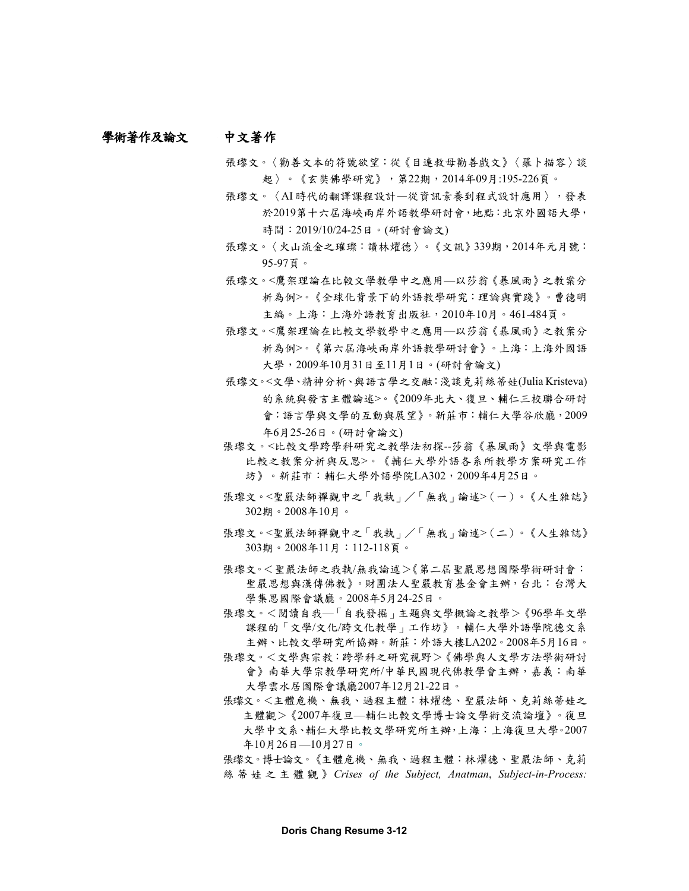### 中文著作 學術著作及論文

- 張瓈文。〈勸善文本的符號欲望:從《目連救母勸善戲文》〈羅卜描容〉談 起〉。《玄奘佛學研究》,第22期,2014年09月:195-226頁。
- 張瓈文。〈AI 時代的翻譯課程設計—從資訊素養到程式設計應用〉,發表 於2019第十六屆海峽兩岸外語教學研討會,地點:北京外國語大學, 時間:2019/10/24-25日。(研討會論文)
- 張瓈文。〈火山流金之璀璨:讀林燿德〉。《文訊》339期,2014年元月號: 95-97頁。
- 張瓈文。<鷹架理論在比較文學教學中之應用––以莎翁《暴風雨》之教案分 析為例>。《全球化背景下的外語教學研究:理論與實踐》。曹德明 主編。上海:上海外語教育出版社,2010年10月。461-484頁。
- 張瓈文。<鷹架理論在比較文學教學中之應用––以莎翁《暴風雨》之教案分 析為例>。《第六屆海峽兩岸外語教學研討會》。上海:上海外國語 大學,2009年10月31日至11月1日。(研討會論文)
- 張瓈文。<文學、精神分析、與語言學之交融:淺談克莉絲蒂娃(Julia Kristeva) 的系統與發言主體論述>。《2009年北大、復旦、輔仁三校聯合研討 會:語言學與文學的互動與展望》。新莊市:輔仁大學谷欣廳,2009 年6月25-26日。(研討會論文)
- 張瓈文。<比較文學跨學科研究之教學法初探--莎翁《暴風雨》文學與電影 比較之教案分析與反思>。《輔仁大學外語各系所教學方案研究工作 坊》。新莊市: 輔仁大學外語學院LA302, 2009年4月25日。
- 張瓈文。<聖嚴法師禪觀中之「我執」/「無我」論述>(一)。《人生雜誌》 302期。2008年10月。
- 張瓈文。<聖嚴法師禪觀中之「我執」/「無我」論述>(二)。《人生雜誌》 303期。2008年11月:112-118頁。
- 張瓈文。<聖嚴法師之我執/無我論述>《第二屆聖嚴思想國際學術研討會: 聖嚴思想與漢傳佛教》。財團法人聖嚴教育基金會主辦,台北︰台灣大 學集思國際會議廳。2008年5月24-25日。
- 張瓈文。<閱讀自我—「自我發掘」主題與文學概論之教學>《96學年文學 課程的「文學/文化/跨文化教學」工作坊》。輔仁大學外語學院德文系 主辦、比較文學研究所協辦。新莊:外語大樓LA202。2008年5月16日。
- 張瓈文。<文學與宗教:跨學科之研究視野>《佛學與人文學方法學術研討 會》南華大學宗教學研究所/中華民國現代佛教學會主辦,嘉義:南華 大學雲水居國際會議廳2007年12月21-22日。
- 張瓈文。<主體危機、無我、過程主體:林燿德、聖嚴法師、克莉絲蒂娃之 主體觀>《2007年復旦—輔仁比較文學博士論文學術交流論壇》。復旦 大學中文系、輔仁大學比較文學研究所主辦,上海︰上海復旦大學。2007 年10月26日—10月27日。

張瓈文。博士論文。《主體危機、無我、過程主體:林燿德、聖嚴法師、克莉 絲蒂娃之主體觀 》*Crises of the Subject, Anatman*, *Subject-in-Process:*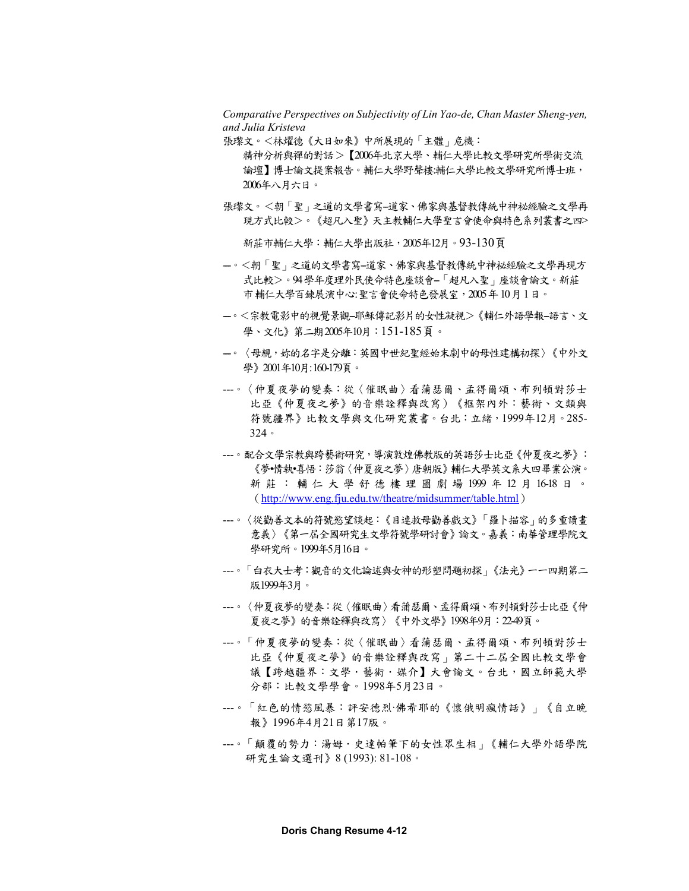*Comparative Perspectives on Subjectivity of Lin Yao-de, Chan Master Sheng-yen, and Julia Kristeva*

張瓈文。<林燿德《大日如來》中所展現的「主體」危機:

精神分析與禪的對話>【2006年北京大學、輔仁大學比較文學研究所學術交流 論壇】博士論文提案報告。輔仁大學野聲樓:輔仁大學比較文學研究所博士班, 2006年八月六日。

張瓈文。<朝「聖」之道的文學書寫-道家、佛家與基督教傳統中神祕經驗之文學再 現方式比較>。《超凡入聖》天主教輔仁大學聖言會使命與特色系列叢書之四>

新莊市輔仁大學:輔仁大學出版社,2005年12月。93-130頁

- 一。<朝「聖」之道的文學書寫-道家、佛家與基督教傳統中神祕經驗之文學再現方 式比較>。94學年度理外民使命特色座談會-「超凡入聖」座談會論文。新莊 市輔仁大學百鍊展演中心: 聖言會使命特色發展室,2005年10月1日。
- ---。<宗教電影中的視覺景觀--耶穌傳記影片的女性凝視>《輔仁外語學報--語言、文 學、文化》第二期2005年10月:151-185頁。
- 一。〈母親,妳的名字是分離:英國中世紀聖經始末劇中的母性建構初探〉《中外文 學》2001年10月: 160-179頁。
- ---。〈仲夏夜夢的變奏:從〈催眠曲〉看蒲瑟爾、孟得爾頌、布列頓對莎士 比亞《仲夏夜之夢》的音樂詮釋與改寫)《框架內外:藝術、文類與 符號疆界》比較文學與文化研究叢書。台北:立緒,1999年12月。285- 324。
- ---。配合文學宗教與跨藝術研究,導演敦煌佛教版的英語莎士比亞《仲夏夜之夢》: 《夢•情執•喜悟:莎翁〈仲夏夜之夢〉唐朝版》輔仁大學英文系大四畢業公演。 新莊:輔仁大學舒德樓理圖劇場 1999 年 12 月 16-18 日 。 (<http://www.eng.fju.edu.tw/theatre/midsummer/table.html>)
- ---。〈從勸善文本的符號慾望談起:《目連救母勸善戲文》「羅卜描容」的多重讀畫 意義〉《第一屆全國研究生文學符號學研討會》論文。嘉義:南華管理學院文 學研究所。1999年5月16日。
- ---。「白衣大士考:觀音的文化論述與女神的形塑問題初探」《法光》一一四期第二 版1999年3月。
- ---。〈仲夏夜夢的變奏:從〈催眠曲〉看蒲瑟爾、孟得爾頌、布列頓對莎士比亞《仲 夏夜之夢》的音樂詮釋與改寫〉《中外文學》1998年9月:22-49頁。
- ---。「仲夏夜夢的變奏:從〈催眠曲〉看蒲瑟爾、孟得爾頌、布列頓對莎士 比亞《仲夏夜之夢》的音樂詮釋與改寫」第二十二屆全國比較文學會 議【跨越疆界:文學·藝術·媒介】大會論文。台北,國立師範大學 分部:比較文學學會。1998年5月23日。
- ---。「紅色的情慾風暴:評安德烈‧佛希耶的《懷俄明瘋情話》」《自立晚 報》1996年4月21日第17版。
- ---。「顛覆的勢力:湯姆.史達帕筆下的女性眾生相」《輔仁大學外語學院 研究生論文選刊》8 (1993): 81-108。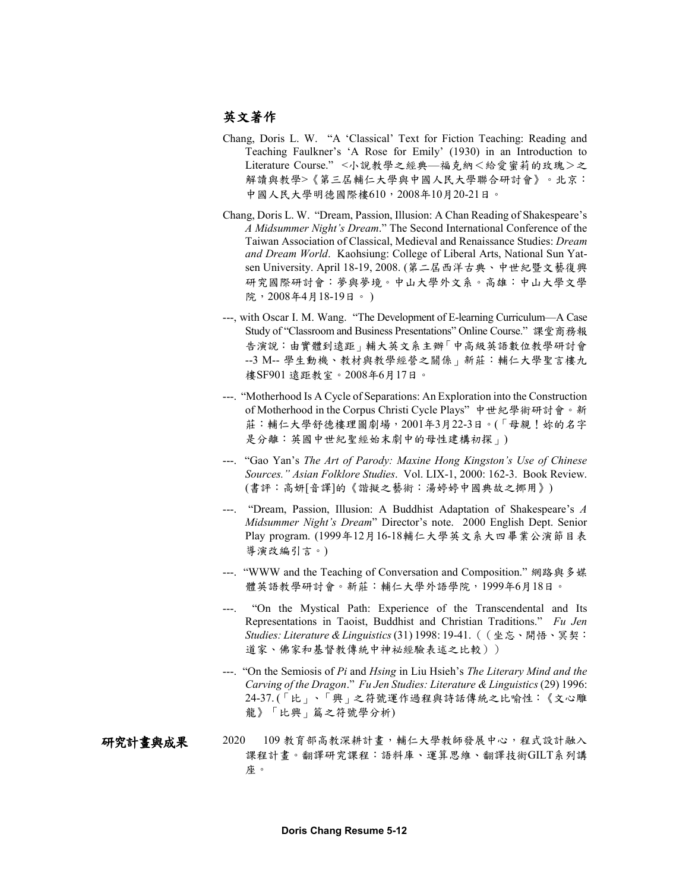## 英文著作

- Chang, Doris L. W. "A 'Classical' Text for Fiction Teaching: Reading and Teaching Faulkner's 'A Rose for Emily' (1930) in an Introduction to Literature Course." <小說教學之經典—福克納<給愛蜜莉的玫瑰>之 解讀與教學>《第三屆輔仁大學與中國人民大學聯合研討會》。北京: 中國人民大學明德國際樓610,2008年10月20-21日。
- Chang, Doris L. W. "Dream, Passion, Illusion: A Chan Reading of Shakespeare's *A Midsummer Night's Dream*." The Second International Conference of the Taiwan Association of Classical, Medieval and Renaissance Studies: *Dream and Dream World*. Kaohsiung: College of Liberal Arts, National Sun Yatsen University. April 18-19, 2008. (第二屆西洋古典、中世紀暨文藝復興 研究國際研討會︰夢與夢境。中山大學外文系。高雄︰中山大學文學 院, 2008年4月18-19日。)
- ---, with Oscar I. M. Wang. "The Development of E-learning Curriculum—A Case Study of "Classroom and Business Presentations" Online Course." 課堂商務報 告演說︰由實體到遠距」輔大英文系主辦「中高級英語數位教學研討會 --3 M-- 學生動機、教材與教學經營之關係」新莊︰輔仁大學聖言樓九 樓SF901 遠距教室。2008年6月17日。
- ---. "Motherhood Is A Cycle of Separations: An Exploration into the Construction of Motherhood in the Corpus Christi Cycle Plays" 中世紀學術研討會。新 莊:輔仁大學舒德樓理圖劇場,2001年3月22-3日。(「母親!妳的名字 是分離:英國中世紀聖經始末劇中的母性建構初探」)
- ---. "Gao Yan's *The Art of Parody: Maxine Hong Kingston's Use of Chinese Sources." Asian Folklore Studies*. Vol. LIX-1, 2000: 162-3. Book Review. (書評:高妍[音譯]的《諧擬之藝術:湯婷婷中國典故之挪用》)
- ---. "Dream, Passion, Illusion: A Buddhist Adaptation of Shakespeare's *A Midsummer Night's Dream*" Director's note. 2000 English Dept. Senior Play program. (1999年12月16-18輔仁大學英文系大四畢業公演節目表 導演改編引言。)
- ---. "WWW and the Teaching of Conversation and Composition." 網路與多媒 體英語教學研討會。新莊:輔仁大學外語學院,1999年6月18日。
- ---. "On the Mystical Path: Experience of the Transcendental and Its Representations in Taoist, Buddhist and Christian Traditions." *Fu Jen Studies: Literature & Linguistics*(31) 1998: 19-41. ((坐忘、開悟、冥契: 道家、佛家和基督教傳統中神祕經驗表述之比較))
- ---. "On the Semiosis of *Pi* and *Hsing* in Liu Hsieh's *The Literary Mind and the Carving of the Dragon*." *Fu Jen Studies: Literature & Linguistics* (29) 1996: 24-37. (「比」、「興」之符號運作過程與詩話傳統之比喻性:《文心雕 龍》「比興」篇之符號學分析)
- 2020 109 教育部高教深耕計畫,輔仁大學教師發展中心,程式設計融入 課程計畫。翻譯研究課程:語料庫、運算思維、翻譯技術GILT系列講 座。 研究計畫與成果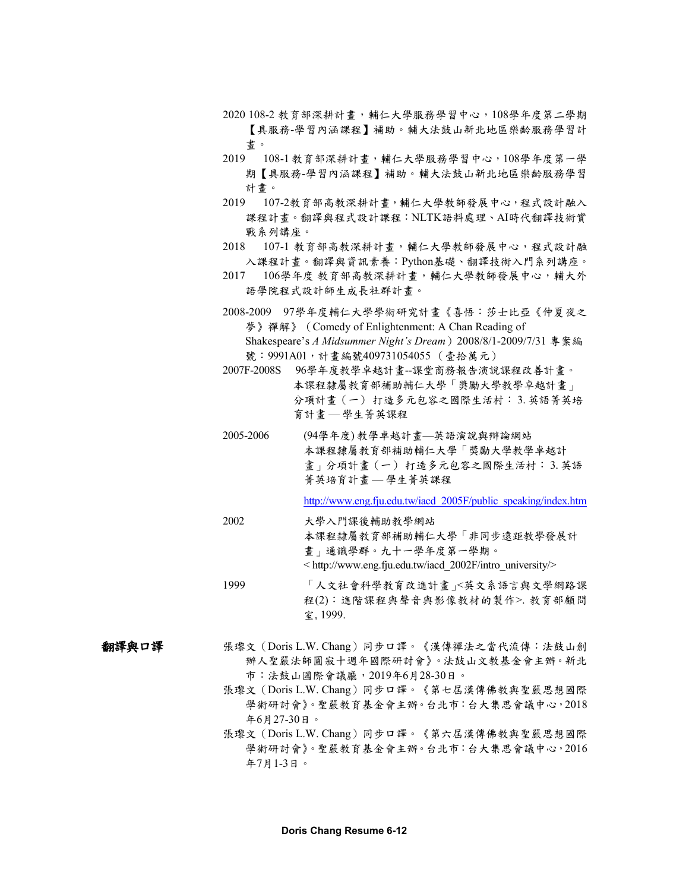- 2020 108-2 教育部深耕計畫,輔仁大學服務學習中心,108學年度第二學期 【具服務-學習內涵課程】補助。輔大法鼓山新北地區樂齡服務學習計 畫。
- 2019 108-1 教育部深耕計畫,輔仁大學服務學習中心,108學年度第一學 期【具服務-學習內涵課程】補助。輔大法鼓山新北地區樂齡服務學習 計畫。
- 2019 107-2教育部高教深耕計畫,輔仁大學教師發展中心,程式設計融入 課程計畫。翻譯與程式設計課程:NLTK語料處理、AI時代翻譯技術實 戰系列講座。
- 2018 107-1 教育部高教深耕計畫,輔仁大學教師發展中心,程式設計融 入課程計畫。翻譯與資訊素養:Python基礎、翻譯技術入門系列講座。
- 2017 106學年度 教育部高教深耕計畫,輔仁大學教師發展中心,輔大外 語學院程式設計師生成長社群計畫。
- 2008-2009 97學年度輔仁大學學術研究計畫《喜悟︰莎士比亞《仲夏夜之 夢》禪解》 (Comedy of Enlightenment: A Chan Reading of Shakespeare's *A Midsummer Night's Dream*)2008/8/1-2009/7/31 專案編 號: 9991A01, 計畫編號409731054055 (壹拾萬元)
- 2007F-2008S 96學年度教學卓越計畫--課堂商務報告演說課程改善計畫。 本課程隸屬教育部補助輔仁大學「獎勵大學教學卓越計畫」 分項計畫(一) 打造多元包容之國際生活村: 3. 英語菁英培 育計畫 — 學生菁英課程
- 2005-2006 (94學年度) 教學卓越計畫—英語演說與辯論網站 本課程隸屬教育部補助輔仁大學「獎勵大學教學卓越計 畫」分項計畫(一) 打造多元包容之國際生活村: 3. 英語 菁英培育計畫 — 學生菁英課程

[http://www.eng.fju.edu.tw/iacd\\_2005F/public\\_speaking/index.htm](http://www.eng.fju.edu.tw/iacd_2005F/public_speaking/index.htm)

- 2002 大學入門課後輔助教學網站 本課程隸屬教育部補助輔仁大學「非同步遠距教學發展計 畫」通識學群。九十一學年度第一學期。 < http://www.eng.fju.edu.tw/iacd\_2002F/intro\_university/>
- 1999 「人文社會科學教育改進計畫」<英文系語言與文學網路課 程(2)︰進階課程與聲音與影像教材的製作>. 教育部顧問 室, 1999.
- 張瓈文(Doris L.W. Chang)同步口譯。《漢傳禪法之當代流傳:法鼓山創 辦人聖嚴法師圓寂十週年國際研討會》。法鼓山文教基金會主辦。新北 市︰法鼓山國際會議廳,2019年6月28-30日。 翻譯與口譯
	- 張瓈文(Doris L.W. Chang)同步口譯。《第七屆漢傳佛教與聖嚴思想國際 學術研討會》。聖嚴教育基金會主辦。台北市:台大集思會議中心,2018 年6月27-30日。
	- 張瓈文(Doris L.W. Chang)同步口譯。《第六屆漢傳佛教與聖嚴思想國際 學術研討會》。聖嚴教育基金會主辦。台北市:台大集思會議中心,2016 年7月1-3日。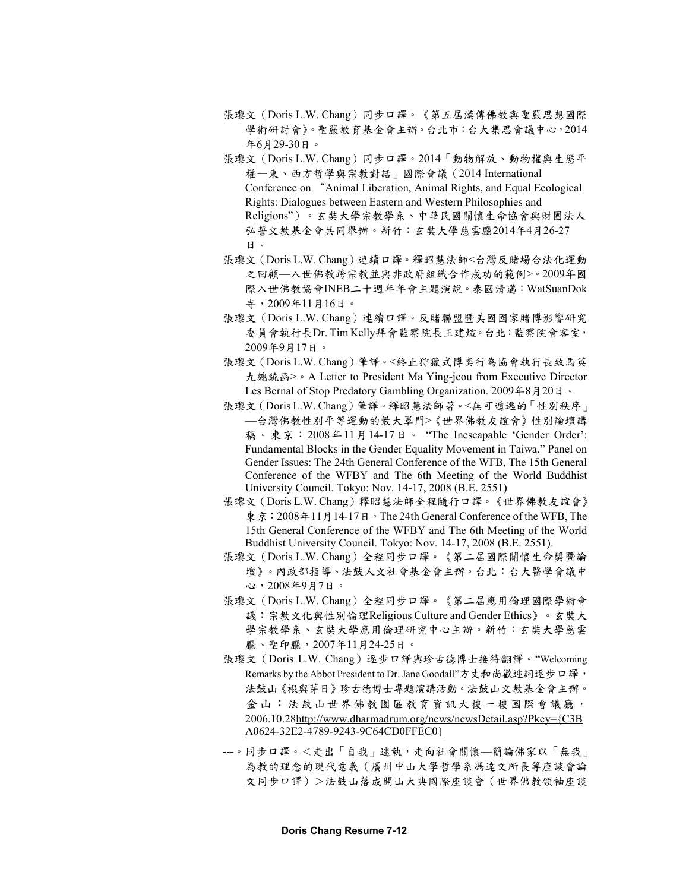- 張瓈文(Doris L.W. Chang)同步口譯。《第五屆漢傳佛教與聖嚴思想國際 學術研討會》。聖嚴教育基金會主辦。台北市:台大集思會議中心,2014 年6月29-30日。
- 張瓈文 (Doris L.W. Chang) 同步口譯。2014「動物解放、動物權與生態平 權—東、西方哲學與宗教對話」國際會議(2014 International Conference on "Animal Liberation, Animal Rights, and Equal Ecological Rights: Dialogues between Eastern and Western Philosophies and Religions")。玄奘大學宗教學系、中華民國關懷生命協會與財團法人 弘誓文教基金會共同舉辦。新竹:玄奘大學慈雲廳2014年4月26-27 日。
- 張瓈文(Doris L.W. Chang)連續口譯。釋昭慧法師<台灣反賭場合法化運動 之回顧—入世佛教跨宗教並與非政府組織合作成功的範例>。2009年國 際入世佛教協會INEB二十週年年會主題演說。泰國清邁:WatSuanDok 寺,2009年11月16日。
- 張瓈文(Doris L.W. Chang)連續口譯。反賭聯盟暨美國國家賭博影響研究 委員會執行長Dr. Tim Kelly拜會監察院長王建煊。台北:監察院會客室, 2009年9月17日。
- 張瓈文(Doris L.W. Chang)筆譯。<終止狩獵式博奕行為協會執行長致馬英 九總統函>。A Letter to President Ma Ying-jeou from Executive Director Les Bernal of Stop Predatory Gambling Organization. 2009年8月20日。
- 張瓈文(Doris L.W. Chang)筆譯。釋昭慧法師著。<無可遁逃的「性別秩序」 —台灣佛教性別平等運動的最大罩門>《世界佛教友誼會》性別論壇講 稿。東京:2008年11月14-17日。 "The Inescapable 'Gender Order': Fundamental Blocks in the Gender Equality Movement in Taiwa." Panel on Gender Issues: The 24th General Conference of the WFB, The 15th General Conference of the WFBY and The 6th Meeting of the World Buddhist University Council. Tokyo: Nov. 14-17, 2008 (B.E. 2551)
- 張瓈文(Doris L.W. Chang)釋昭慧法師全程隨行口譯。《世界佛教友誼會》 東京: 2008年11月14-17日。The 24th General Conference of the WFB, The 15th General Conference of the WFBY and The 6th Meeting of the World Buddhist University Council. Tokyo: Nov. 14-17, 2008 (B.E. 2551).
- 張瓈文(Doris L.W. Chang)全程同步口譯。《第二屆國際關懷生命獎暨論 壇》。內政部指導、法鼓人文社會基金會主辦。台北︰台大醫學會議中 心,2008年9月7日。
- 張瓈文(Doris L.W. Chang)全程同步口譯。《第二屆應用倫理國際學術會 議︰宗教文化與性別倫理Religious Culture and Gender Ethics》。玄奘大 學宗教學系、玄奘大學應用倫理研究中心主辦。新竹︰玄奘大學慈雲 廳、聖印廳,2007年11月24-25日。
- 張瓈文(Doris L.W. Chang)逐步口譯與珍古德博士接待翻譯。"Welcoming Remarks by the Abbot President to Dr. Jane Goodall"方丈和尚歡迎詞逐步口譯, 法鼓山《根與芽日》珍古德博士專題演講活動。法鼓山文教基金會主辦。 金山:法鼓山世界佛教園區教育資訊大樓一樓國際會議廳, 2006.10.2[8http://www.dharmadrum.org/news/newsDetail.asp?Pkey={C3B](http://www.dharmadrum.org/news/newsDetail.asp?Pkey=%7bC3BA0624-32E2-4789-9243-9C64CD0FFEC0%7d) [A0624-32E2-4789-9243-9C64CD0FFEC0}](http://www.dharmadrum.org/news/newsDetail.asp?Pkey=%7bC3BA0624-32E2-4789-9243-9C64CD0FFEC0%7d)
- ---。同步口譯。<走出「自我」迷執,走向社會關懷—簡論佛家以「無我」 為教的理念的現代意義(廣州中山大學哲學系馮達文所長等座談會論 文同步口譯)>法鼓山落成開山大典國際座談會(世界佛教領袖座談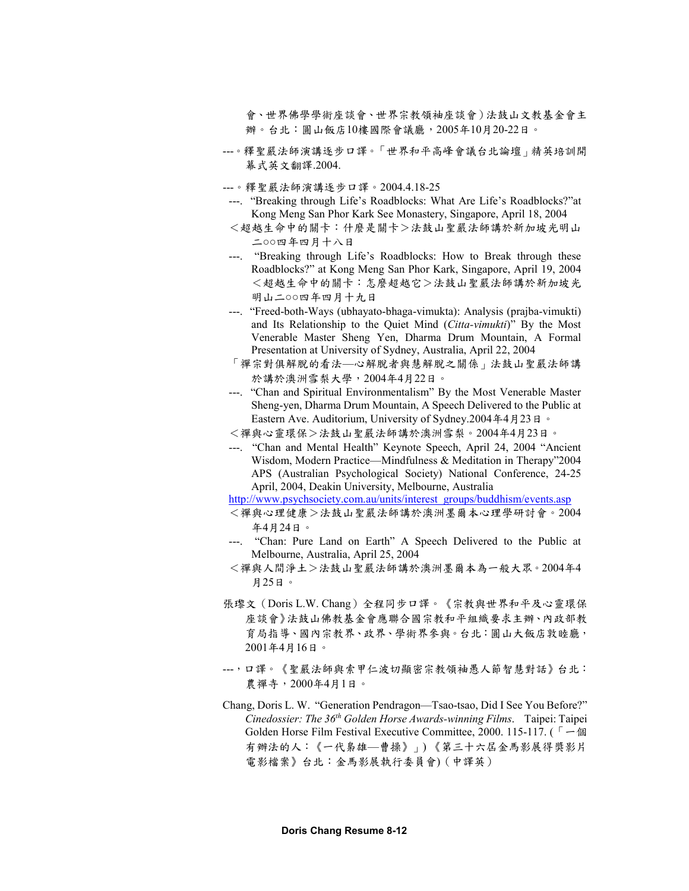會、世界佛學學術座談會、世界宗教領袖座談會)法鼓山文教基金會主 辦。台北:圓山飯店10樓國際會議廳,2005年10月20-22日。

- ---。釋聖嚴法師演講逐步口譯。「世界和平高峰會議台北論壇」精英培訓開 幕式英文翻譯.2004.
- ---。釋聖嚴法師演講逐步口譯。2004.4.18-25
- ---. "Breaking through Life's Roadblocks: What Are Life's Roadblocks?"at Kong Meng San Phor Kark See Monastery, Singapore, April 18, 2004
- <超越生命中的關卡:什麼是關卡>法鼓山聖嚴法師講於新加坡光明山 二○○四年四月十八日
- ---. "Breaking through Life's Roadblocks: How to Break through these Roadblocks?" at Kong Meng San Phor Kark, Singapore, April 19, 2004 <超越生命中的關卡:怎麼超越它>法鼓山聖嚴法師講於新加坡光 明山二○○四年四月十九日
- ---. "Freed-both-Ways (ubhayato-bhaga-vimukta): Analysis (prajba-vimukti) and Its Relationship to the Quiet Mind (*Citta-vimukti*)" By the Most Venerable Master Sheng Yen, Dharma Drum Mountain, A Formal Presentation at University of Sydney, Australia, April 22, 2004
- 「禪宗對俱解脫的看法—心解脫者與慧解脫之關係」法鼓山聖嚴法師講 於講於澳洲雪梨大學,2004年4月22日。
- ---. "Chan and Spiritual Environmentalism" By the Most Venerable Master Sheng-yen, Dharma Drum Mountain, A Speech Delivered to the Public at Eastern Ave. Auditorium, University of Sydney.2004年4月23日。
- <禪與心靈環保>法鼓山聖嚴法師講於澳洲雪梨。2004年4月23日。
- ---. "Chan and Mental Health" Keynote Speech, April 24, 2004 "Ancient Wisdom, Modern Practice—Mindfulness & Meditation in Therapy"2004 APS (Australian Psychological Society) National Conference, 24-25 April, 2004, Deakin University, Melbourne, Australia

[http://www.psychsociety.com.au/units/interest\\_groups/buddhism/events.asp](http://www.psychsociety.com.au/units/interest_groups/buddhism/events.asp)

- <禪與心理健康>法鼓山聖嚴法師講於澳洲墨爾本心理學研討會。2004 年4月24日。
- ---. "Chan: Pure Land on Earth" A Speech Delivered to the Public at Melbourne, Australia, April 25, 2004
- <禪與人間淨土>法鼓山聖嚴法師講於澳洲墨爾本為一般大眾。2004年4 月25日。
- 張瓈文(Doris L.W. Chang)全程同步口譯。《宗教與世界和平及心靈環保 座談會》法鼓山佛教基金會應聯合國宗教和平組織要求主辦、內政部教 育局指導、國內宗教界、政界、學術界參與。台北:圓山大飯店敦睦廳, 2001年4月16日。
- ---,口譯。《聖嚴法師與索甲仁波切顯密宗教領袖愚人節智慧對話》台北: 農禪寺,2000年4月1日。
- Chang, Doris L. W. "Generation Pendragon—Tsao-tsao, Did I See You Before?" *Cinedossier: The 36th Golden Horse Awards-winning Films*. Taipei: Taipei Golden Horse Film Festival Executive Committee, 2000. 115-117. (「一個 有辦法的人:《一代梟雄—曹操》」) 《第三十六屆金馬影展得獎影片 電影檔案》台北:金馬影展執行委員會)(中譯英)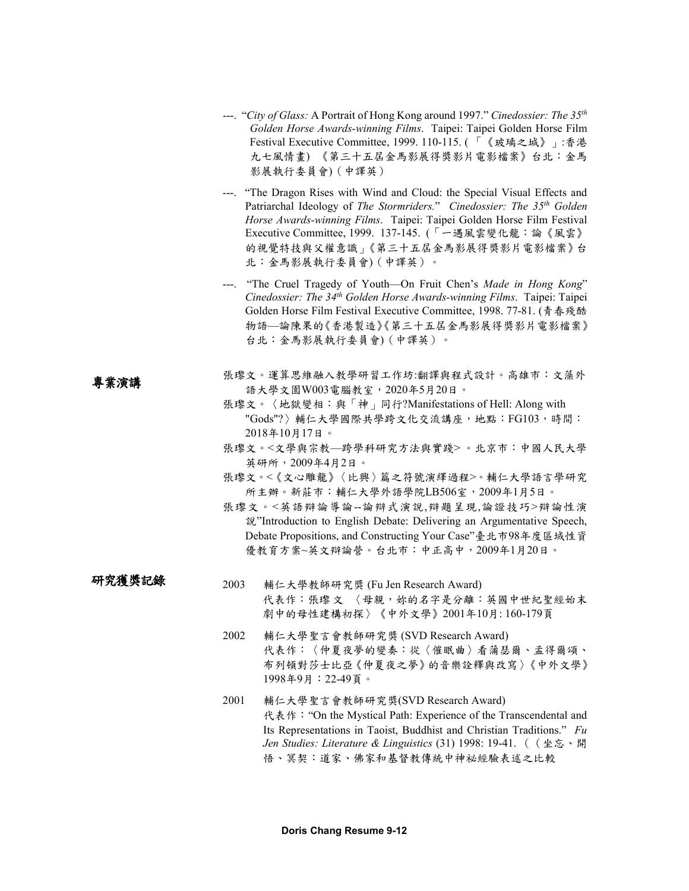- ---. "*City of Glass:* A Portrait of Hong Kong around 1997." *Cinedossier: The 35th Golden Horse Awards-winning Films*. Taipei: Taipei Golden Horse Film Festival Executive Committee, 1999. 110-115. ( 「《玻璃之城》」:香港 九七風情畫) 《第三十五屆金馬影展得獎影片電影檔案》台北:金馬 影展執行委員會)(中譯英)
- ---. "The Dragon Rises with Wind and Cloud: the Special Visual Effects and Patriarchal Ideology of *The Stormriders.*" *Cinedossier: The 35th Golden Horse Awards-winning Films*. Taipei: Taipei Golden Horse Film Festival Executive Committee, 1999. 137-145. (「一遇風雲變化龍:論《風雲》 的視覺特技與父權意識」《第三十五屆金馬影展得獎影片電影檔案》台 北:金馬影展執行委員會)(中譯英)。
- ---. "The Cruel Tragedy of Youth—On Fruit Chen's *Made in Hong Kong*" *Cinedossier: The 34th Golden Horse Awards-winning Films*. Taipei: Taipei Golden Horse Film Festival Executive Committee, 1998. 77-81. (青春殘酷 物語—論陳果的《香港製造》《第三十五屆金馬影展得獎影片電影檔案》 台北:金馬影展執行委員會)(中譯英)。
- 張瓈文。運算思維融入教學研習工作坊:翻譯與程式設計。高雄市:文藻外 語大學文園W003電腦教室,2020年5月20日。 專業演講

研究獲獎記錄

- 張瓈文。〈地獄變相:與「神」同行?Manifestations of Hell: Along with "Gods"?) 輔仁大學國際共學跨文化交流講座,地點: FG103,時間: 2018年10月17日。
- 張瓈文。<文學與宗教—跨學科研究方法與實踐> 。北京市:中國人民大學 英研所,2009年4月2日。
- 張瓈文。<《文心雕龍》〈比興〉篇之符號演繹過程>。輔仁大學語言學研究 所主辦。新莊市:輔仁大學外語學院LB506室,2009年1月5日。
- 張瓈文。<英語辯論導論--論辯式演說,辯題呈現,論證技巧>辯論性演 說"Introduction to English Debate: Delivering an Argumentative Speech, Debate Propositions, and Constructing Your Case"臺北市98年度區域性資 優教育方案~英文辯論營。台北市:中正高中,2009年1月20日。

2003 輔仁大學教師研究獎 (Fu Jen Research Award) 代表作:張瓈文 〈母親,妳的名字是分離:英國中世紀聖經始末 劇中的母性建構初探〉《中外文學》2001年10月: 160-179頁

- 2002 輔仁大學聖言會教師研究獎 (SVD Research Award) 代表作:〈仲夏夜夢的變奏:從〈催眠曲〉看蒲瑟爾、孟得爾頌、 布列頓對莎士比亞《仲夏夜之夢》的音樂詮釋與改寫〉《中外文學》 1998年9月:22-49頁。
- 2001 輔仁大學聖言會教師研究獎(SVD Research Award) 代表作: "On the Mystical Path: Experience of the Transcendental and Its Representations in Taoist, Buddhist and Christian Traditions." *Fu Jen Studies: Literature & Linguistics* (31) 1998: 19-41. ((坐忘、開 悟、冥契:道家、佛家和基督教傳統中神祕經驗表述之比較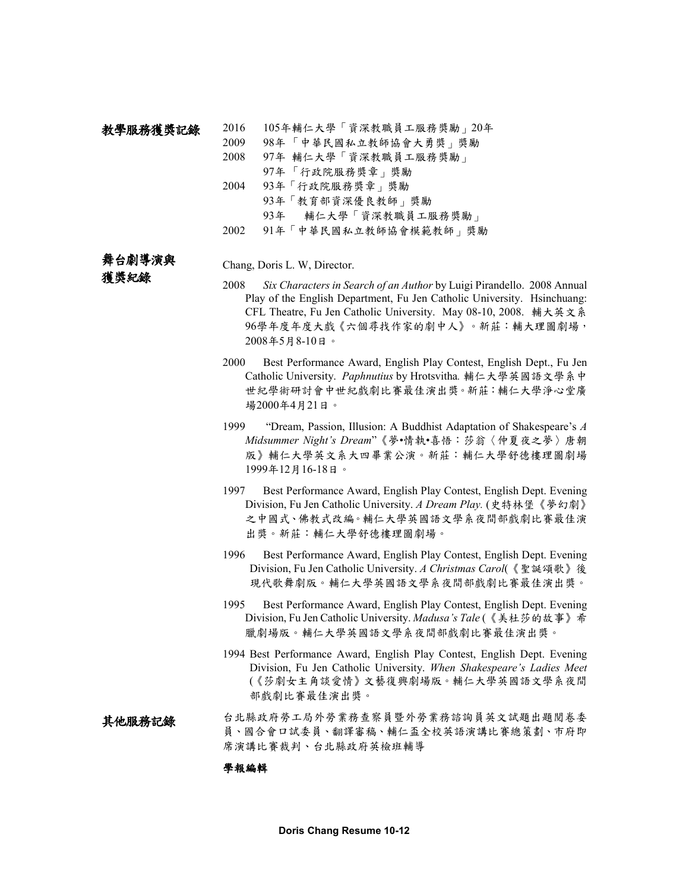#### 2016 105年輔仁大學「資深教職員工服務獎勵」20年 教學服務獲獎記錄

2009 98年 「中華民國私立教師協會大勇獎」獎勵

- 2008 97年 輔仁大學「資深教職員工服務獎勵」
	- 97年 「行政院服務獎章」獎勵
- 2004 93年「行政院服務獎章」獎勵
	- 93年「教育部資深優良教師」獎勵
		- 93年 輔仁大學「資深教職員工服務獎勵」
- 2002 91年「中華民國私立教師協會模範教師」獎勵

# 舞台劇導演與

獲獎紀錄

## Chang, Doris L. W, Director.

- 2008 *Six Characters in Search of an Author* by Luigi Pirandello. 2008 Annual Play of the English Department, Fu Jen Catholic University. Hsinchuang: CFL Theatre, Fu Jen Catholic University. May 08-10, 2008. 輔大英文系 96學年度年度大戲《六個尋找作家的劇中人》。新莊:輔大理圖劇場, 2008年5月8-10日。
- 2000 Best Performance Award, English Play Contest, English Dept., Fu Jen Catholic University. *Paphnutius* by Hrotsvitha*.* 輔仁大學英國語文學系中 世紀學術研討會中世紀戲劇比賽最佳演出獎。新莊:輔仁大學淨心堂廣 場2000年4月21日。
- 1999 "Dream, Passion, Illusion: A Buddhist Adaptation of Shakespeare's *A Midsummer Night's Dream*"《夢•情執•喜悟:莎翁〈仲夏夜之夢〉唐朝 版》輔仁大學英文系大四畢業公演。新莊:輔仁大學舒德樓理圖劇場 1999年12月16-18日。
- 1997 Best Performance Award, English Play Contest, English Dept. Evening Division, Fu Jen Catholic University. *A Dream Play.* (史特林堡《夢幻劇》 之中國式、佛教式改編。輔仁大學英國語文學系夜間部戲劇比賽最佳演 出獎。新莊:輔仁大學舒德樓理圖劇場。
- 1996 Best Performance Award, English Play Contest, English Dept. Evening Division, Fu Jen Catholic University. *A Christmas Carol*(《聖誕頌歌》後 現代歌舞劇版。輔仁大學英國語文學系夜間部戲劇比賽最佳演出獎。
- 1995 Best Performance Award, English Play Contest, English Dept. Evening Division, Fu Jen Catholic University. *Madusa's Tale* (《美杜莎的故事》希 臘劇場版。輔仁大學英國語文學系夜間部戲劇比賽最佳演出獎。
- 1994 Best Performance Award, English Play Contest, English Dept. Evening Division, Fu Jen Catholic University. *When Shakespeare's Ladies Meet*  (《莎劇女主角談愛情》文藝復興劇場版。輔仁大學英國語文學系夜間 部戲劇比賽最佳演出獎。

### 台北縣政府勞工局外勞業務查察員暨外勞業務諮詢員英文試題出題閱卷委 員、國合會口試委員、翻譯審稿、輔仁盃全校英語演講比賽總策劃、市府即 席演講比賽裁判、台北縣政府英檢班輔導 其他服務記錄

## 學報編輯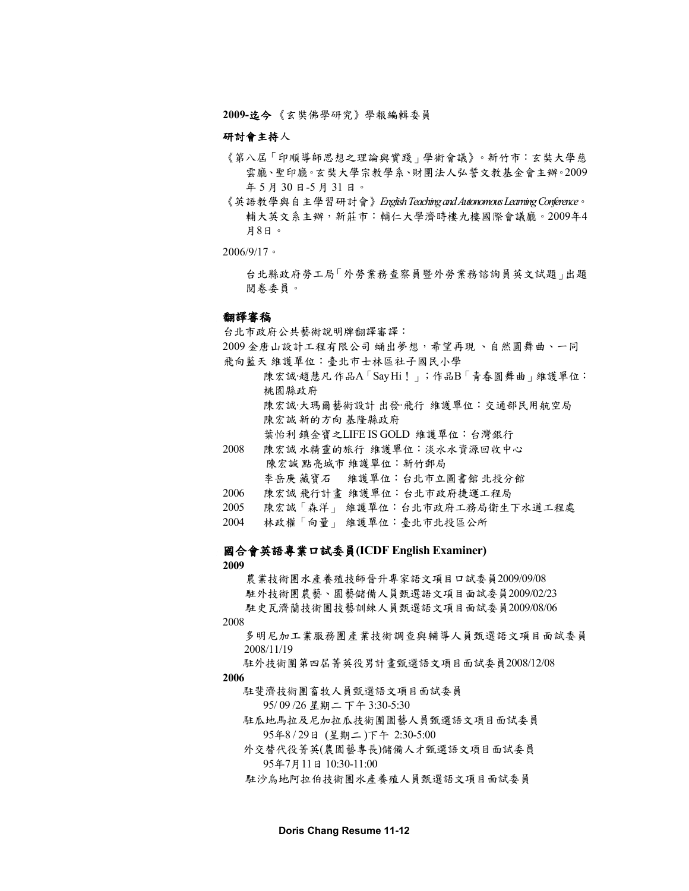**2009-**迄今 《玄奘佛學研究》學報編輯委員

## 研討會主持人

- 《第八屆「印順導師思想之理論與實踐」學術會議》。新竹市:玄奘大學慈 雲廳、聖印廳。玄奘大學宗教學系、財團法人弘誓文教基金會主辦。2009 年 5 月 30 日-5 月 31 日。
- 《英語教學與自主學習研討會》*English Teaching and Autonomous Learning Conference*。 輔大英文系主辦,新莊市:輔仁大學濟時樓九樓國際會議廳。2009年4 月8日。

2006/9/17。

台北縣政府勞工局「外勞業務查察員暨外勞業務諮詢員英文試題」出題 閱卷委員。

## 翻譯審稿

台北市政府公共藝術說明牌翻譯審譯:

2009 金唐山設計工程有限公司 蛹出夢想,希望再現 、自然圓舞曲、一同 飛向藍天 維護單位:臺北市士林區社子國民小學

陳宏誠‧趙慧凡作品A「Say Hi!」;作品B「青春圓舞曲」維護單位: 桃園縣政府 陳宏誠‧大瑪爾藝術設計 出發‧飛行 維護單位:交通部民用航空局

陳宏誠 新的方向 基隆縣政府

葉怡利 鎮金寶之LIFE IS GOLD 維護單位:台灣銀行

2008 陳宏誠 水精靈的旅行 維護單位:淡水水資源回收中心 陳宏誠 點亮城市 維護單位:新竹郵局 李岳庚 藏寶石 維護單位:台北市立圖書館 北投分館

- 2006 陳宏誠 飛行計畫 維護單位:台北市政府捷運工程局
- 2005 陳宏誠「森洋」 維護單位:台北市政府工務局衛生下水道工程處
- 2004 林政權「向量」 維護單位:臺北市北投區公所

## 國合會英語專業口試委員**(ICDF English Examiner)**

**2009**

農業技術團水產養殖技師晉升專家語文項目口試委員2009/09/08 駐外技術團農藝、園藝儲備人員甄選語文項目面試委員2009/02/23 駐史瓦濟蘭技術團技藝訓練人員甄選語文項目面試委員2009/08/06

2008

多明尼加工業服務團產業技術調查與輔導人員甄選語文項目面試委員 2008/11/19

駐外技術團第四屆菁英役男計畫甄選語文項目面試委員2008/12/08

**2006**

駐斐濟技術團畜牧人員甄選語文項目面試委員

95/ 09 /26 星期二 下午 3:30-5:30

駐瓜地馬拉及尼加拉瓜技術團園藝人員甄選語文項目面試委員 95年8 / 29日 (星期二 )下午 2:30-5:00

外交替代役菁英(農園藝專長)儲備人才甄選語文項目面試委員 95年7月11日 10:30-11:00

駐沙烏地阿拉伯技術團水產養殖人員甄選語文項目面試委員